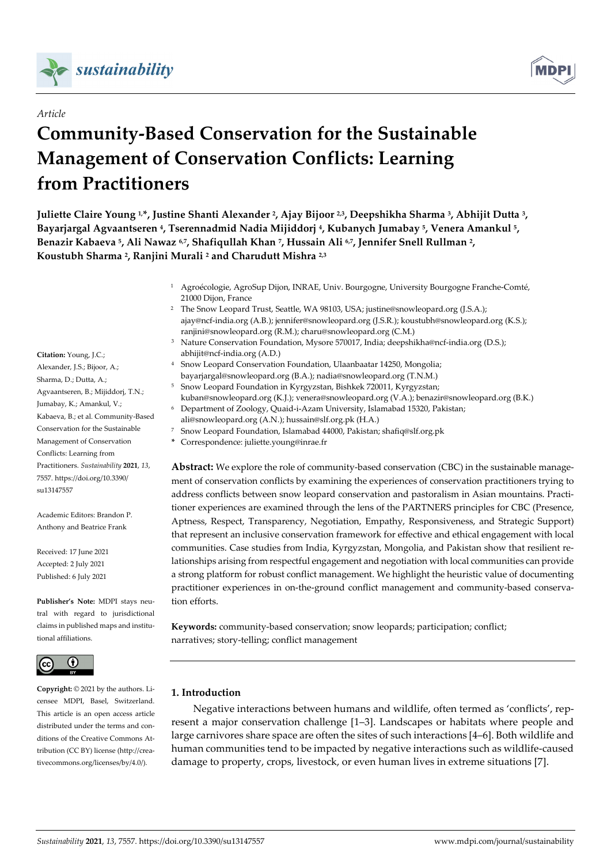

# *Article*

# **Community-Based Conservation for the Sustainable Management of Conservation Conflicts: Learning from Practitioners**



**Juliette Claire Young 1, \*, Justine Shanti Alexander 2, Ajay Bijoor 2,3, Deepshikha Sharma 3, Abhijit Dutta 3, Bayarjargal Agvaantseren 4, Tserennadmid Nadia Mijiddorj 4, Kubanych Jumabay 5, Venera Amankul 5, Benazir Kabaeva 5, Ali Nawaz 6,7, Shafiqullah Khan 7, Hussain Ali 6,7, Jennifer Snell Rullman 2, Koustubh Sharma 2, Ranjini Murali <sup>2</sup> and Charudutt Mishra 2,3**

> <sup>1</sup> Agroécologie, AgroSup Dijon, INRAE, Univ. Bourgogne, University Bourgogne Franche-Comté, 21000 Dijon, France

- <sup>2</sup> The Snow Leopard Trust, Seattle, WA 98103, USA; justine@snowleopard.org (J.S.A.); ajay@ncf-india.org (A.B.); jennifer@snowleopard.org (J.S.R.); koustubh@snowleopard.org (K.S.); ranjini@snowleopard.org (R.M.); charu@snowleopard.org (C.M.)
- <sup>3</sup> Nature Conservation Foundation, Mysore 570017, India; deepshikha@ncf-india.org (D.S.); abhijit@ncf-india.org (A.D.)
- <sup>4</sup> Snow Leopard Conservation Foundation, Ulaanbaatar 14250, Mongolia;
- bayarjargal@snowleopard.org (B.A.); nadia@snowleopard.org (T.N.M.)
- <sup>5</sup> Snow Leopard Foundation in Kyrgyzstan, Bishkek 720011, Kyrgyzstan; kuban@snowleopard.org (K.J.); venera@snowleopard.org (V.A.); benazir@snowleopard.org (B.K.)
- <sup>6</sup> Department of Zoology, Quaid-i-Azam University, Islamabad 15320, Pakistan;
- ali@snowleopard.org (A.N.); hussain@slf.org.pk (H.A.) <sup>7</sup> Snow Leopard Foundation, Islamabad 44000, Pakistan; shafiq@slf.org.pk
- **\*** Correspondence: juliette.young@inrae.fr

**Abstract:** We explore the role of community-based conservation (CBC) in the sustainable management of conservation conflicts by examining the experiences of conservation practitioners trying to address conflicts between snow leopard conservation and pastoralism in Asian mountains. Practitioner experiences are examined through the lens of the PARTNERS principles for CBC (Presence, Aptness, Respect, Transparency, Negotiation, Empathy, Responsiveness, and Strategic Support) that represent an inclusive conservation framework for effective and ethical engagement with local communities. Case studies from India, Kyrgyzstan, Mongolia, and Pakistan show that resilient relationships arising from respectful engagement and negotiation with local communities can provide a strong platform for robust conflict management. We highlight the heuristic value of documenting practitioner experiences in on-the-ground conflict management and community-based conservation efforts.

**Keywords:** community-based conservation; snow leopards; participation; conflict; narratives; story-telling; conflict management

# **1. Introduction**

Negative interactions between humans and wildlife, often termed as 'conflicts', represent a major conservation challenge [1–3]. Landscapes or habitats where people and large carnivores share space are often the sites of such interactions [4–6]. Both wildlife and human communities tend to be impacted by negative interactions such as wildlife-caused damage to property, crops, livestock, or even human lives in extreme situations [7].

**Citation:** Young, J.C.; Alexander, J.S.; Bijoor, A.; Sharma, D.; Dutta, A.; Agvaantseren, B.; Mijiddorj, T.N.; Jumabay, K.; Amankul, V.; Kabaeva, B.; et al. Community-Based Conservation for the Sustainable Management of Conservation Conflicts: Learning from Practitioners. *Sustainability* **2021**, *13*, 7557. https://doi.org/10.3390/ su13147557

Academic Editors: Brandon P. Anthony and Beatrice Frank

Received: 17 June 2021 Accepted: 2 July 2021 Published: 6 July 2021

**Publisher's Note:** MDPI stays neutral with regard to jurisdictional claims in published maps and institutional affiliations.



**Copyright:** © 2021 by the authors. Licensee MDPI, Basel, Switzerland. This article is an open access article distributed under the terms and conditions of the Creative Commons Attribution (CC BY) license (http://creativecommons.org/licenses/by/4.0/).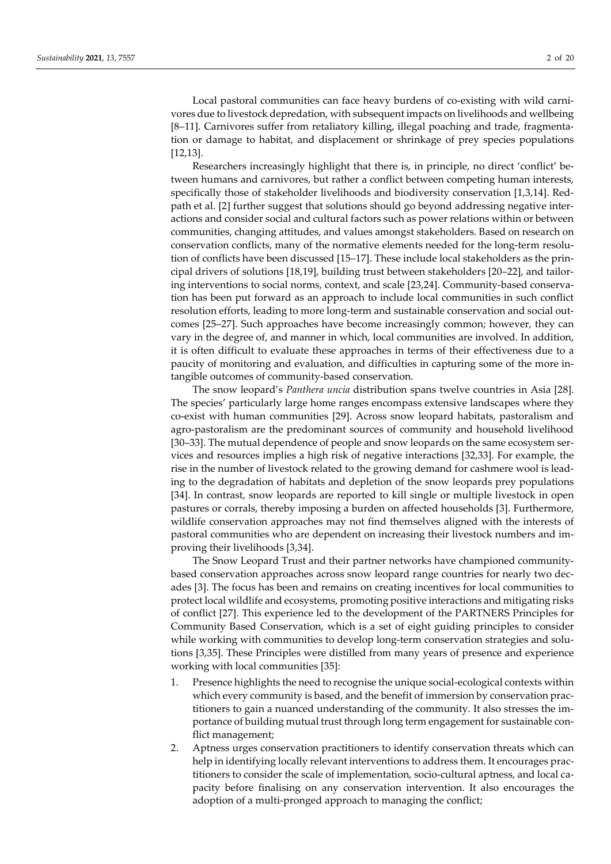Local pastoral communities can face heavy burdens of co-existing with wild carnivores due to livestock depredation, with subsequent impacts on livelihoods and wellbeing [8–11]. Carnivores suffer from retaliatory killing, illegal poaching and trade, fragmentation or damage to habitat, and displacement or shrinkage of prey species populations [12,13].

Researchers increasingly highlight that there is, in principle, no direct 'conflict' between humans and carnivores, but rather a conflict between competing human interests, specifically those of stakeholder livelihoods and biodiversity conservation [1,3,14]. Redpath et al. [2] further suggest that solutions should go beyond addressing negative interactions and consider social and cultural factors such as power relations within or between communities, changing attitudes, and values amongst stakeholders. Based on research on conservation conflicts, many of the normative elements needed for the long-term resolution of conflicts have been discussed [15–17]. These include local stakeholders as the principal drivers of solutions [18,19], building trust between stakeholders [20–22], and tailoring interventions to social norms, context, and scale [23,24]. Community-based conservation has been put forward as an approach to include local communities in such conflict resolution efforts, leading to more long-term and sustainable conservation and social outcomes [25–27]. Such approaches have become increasingly common; however, they can vary in the degree of, and manner in which, local communities are involved. In addition, it is often difficult to evaluate these approaches in terms of their effectiveness due to a paucity of monitoring and evaluation, and difficulties in capturing some of the more intangible outcomes of community-based conservation.

The snow leopard's *Panthera uncia* distribution spans twelve countries in Asia [28]. The species' particularly large home ranges encompass extensive landscapes where they co-exist with human communities [29]. Across snow leopard habitats, pastoralism and agro-pastoralism are the predominant sources of community and household livelihood [30–33]. The mutual dependence of people and snow leopards on the same ecosystem services and resources implies a high risk of negative interactions [32,33]. For example, the rise in the number of livestock related to the growing demand for cashmere wool is leading to the degradation of habitats and depletion of the snow leopards prey populations [34]. In contrast, snow leopards are reported to kill single or multiple livestock in open pastures or corrals, thereby imposing a burden on affected households [3]. Furthermore, wildlife conservation approaches may not find themselves aligned with the interests of pastoral communities who are dependent on increasing their livestock numbers and improving their livelihoods [3,34].

The Snow Leopard Trust and their partner networks have championed communitybased conservation approaches across snow leopard range countries for nearly two decades [3]. The focus has been and remains on creating incentives for local communities to protect local wildlife and ecosystems, promoting positive interactions and mitigating risks of conflict [27]. This experience led to the development of the PARTNERS Principles for Community Based Conservation, which is a set of eight guiding principles to consider while working with communities to develop long-term conservation strategies and solutions [3,35]. These Principles were distilled from many years of presence and experience working with local communities [35]:

- 1. Presence highlights the need to recognise the unique social-ecological contexts within which every community is based, and the benefit of immersion by conservation practitioners to gain a nuanced understanding of the community. It also stresses the importance of building mutual trust through long term engagement for sustainable conflict management;
- 2. Aptness urges conservation practitioners to identify conservation threats which can help in identifying locally relevant interventions to address them. It encourages practitioners to consider the scale of implementation, socio-cultural aptness, and local capacity before finalising on any conservation intervention. It also encourages the adoption of a multi-pronged approach to managing the conflict;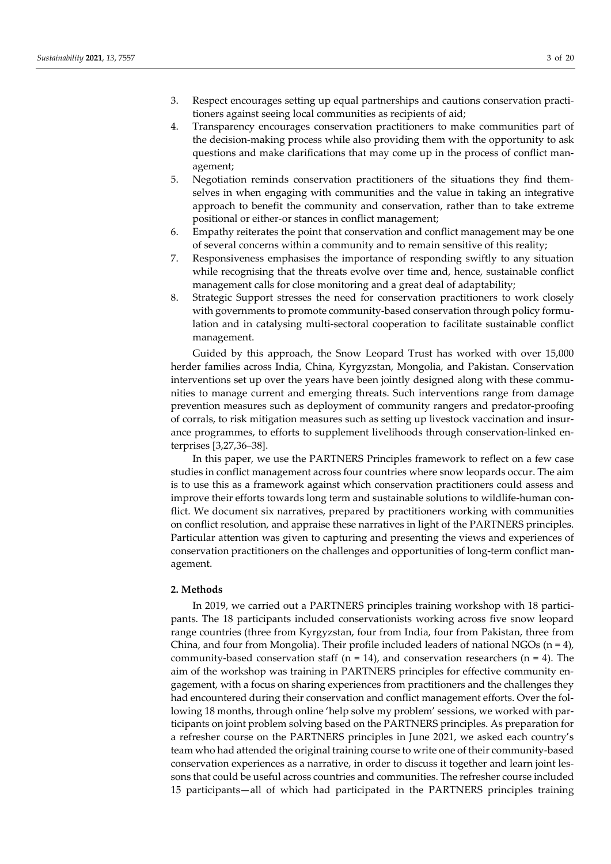- 3. Respect encourages setting up equal partnerships and cautions conservation practitioners against seeing local communities as recipients of aid;
- 4. Transparency encourages conservation practitioners to make communities part of the decision-making process while also providing them with the opportunity to ask questions and make clarifications that may come up in the process of conflict management;
- 5. Negotiation reminds conservation practitioners of the situations they find themselves in when engaging with communities and the value in taking an integrative approach to benefit the community and conservation, rather than to take extreme positional or either-or stances in conflict management;
- 6. Empathy reiterates the point that conservation and conflict management may be one of several concerns within a community and to remain sensitive of this reality;
- 7. Responsiveness emphasises the importance of responding swiftly to any situation while recognising that the threats evolve over time and, hence, sustainable conflict management calls for close monitoring and a great deal of adaptability;
- 8. Strategic Support stresses the need for conservation practitioners to work closely with governments to promote community-based conservation through policy formulation and in catalysing multi-sectoral cooperation to facilitate sustainable conflict management.

Guided by this approach, the Snow Leopard Trust has worked with over 15,000 herder families across India, China, Kyrgyzstan, Mongolia, and Pakistan. Conservation interventions set up over the years have been jointly designed along with these communities to manage current and emerging threats. Such interventions range from damage prevention measures such as deployment of community rangers and predator-proofing of corrals, to risk mitigation measures such as setting up livestock vaccination and insurance programmes, to efforts to supplement livelihoods through conservation-linked enterprises [3,27,36–38].

In this paper, we use the PARTNERS Principles framework to reflect on a few case studies in conflict management across four countries where snow leopards occur. The aim is to use this as a framework against which conservation practitioners could assess and improve their efforts towards long term and sustainable solutions to wildlife-human conflict. We document six narratives, prepared by practitioners working with communities on conflict resolution, and appraise these narratives in light of the PARTNERS principles. Particular attention was given to capturing and presenting the views and experiences of conservation practitioners on the challenges and opportunities of long-term conflict management.

#### **2. Methods**

In 2019, we carried out a PARTNERS principles training workshop with 18 participants. The 18 participants included conservationists working across five snow leopard range countries (three from Kyrgyzstan, four from India, four from Pakistan, three from China, and four from Mongolia). Their profile included leaders of national NGOs  $(n = 4)$ , community-based conservation staff ( $n = 14$ ), and conservation researchers ( $n = 4$ ). The aim of the workshop was training in PARTNERS principles for effective community engagement, with a focus on sharing experiences from practitioners and the challenges they had encountered during their conservation and conflict management efforts. Over the following 18 months, through online 'help solve my problem' sessions, we worked with participants on joint problem solving based on the PARTNERS principles. As preparation for a refresher course on the PARTNERS principles in June 2021, we asked each country's team who had attended the original training course to write one of their community-based conservation experiences as a narrative, in order to discuss it together and learn joint lessons that could be useful across countries and communities. The refresher course included 15 participants—all of which had participated in the PARTNERS principles training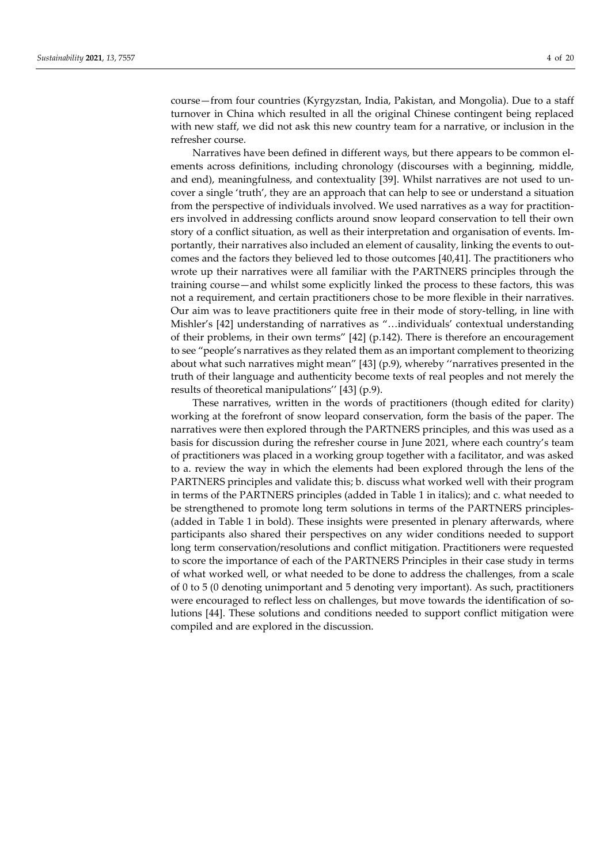course—from four countries (Kyrgyzstan, India, Pakistan, and Mongolia). Due to a staff turnover in China which resulted in all the original Chinese contingent being replaced with new staff, we did not ask this new country team for a narrative, or inclusion in the refresher course.

Narratives have been defined in different ways, but there appears to be common elements across definitions, including chronology (discourses with a beginning, middle, and end), meaningfulness, and contextuality [39]. Whilst narratives are not used to uncover a single 'truth', they are an approach that can help to see or understand a situation from the perspective of individuals involved. We used narratives as a way for practitioners involved in addressing conflicts around snow leopard conservation to tell their own story of a conflict situation, as well as their interpretation and organisation of events. Importantly, their narratives also included an element of causality, linking the events to outcomes and the factors they believed led to those outcomes [40,41]. The practitioners who wrote up their narratives were all familiar with the PARTNERS principles through the training course—and whilst some explicitly linked the process to these factors, this was not a requirement, and certain practitioners chose to be more flexible in their narratives. Our aim was to leave practitioners quite free in their mode of story-telling, in line with Mishler's [42] understanding of narratives as "…individuals' contextual understanding of their problems, in their own terms" [42] (p.142). There is therefore an encouragement to see "people's narratives as they related them as an important complement to theorizing about what such narratives might mean" [43] (p.9), whereby ''narratives presented in the truth of their language and authenticity become texts of real peoples and not merely the results of theoretical manipulations'' [43] (p.9).

These narratives, written in the words of practitioners (though edited for clarity) working at the forefront of snow leopard conservation, form the basis of the paper. The narratives were then explored through the PARTNERS principles, and this was used as a basis for discussion during the refresher course in June 2021, where each country's team of practitioners was placed in a working group together with a facilitator, and was asked to a. review the way in which the elements had been explored through the lens of the PARTNERS principles and validate this; b. discuss what worked well with their program in terms of the PARTNERS principles (added in Table 1 in italics); and c. what needed to be strengthened to promote long term solutions in terms of the PARTNERS principles- (added in Table 1 in bold). These insights were presented in plenary afterwards, where participants also shared their perspectives on any wider conditions needed to support long term conservation/resolutions and conflict mitigation. Practitioners were requested to score the importance of each of the PARTNERS Principles in their case study in terms of what worked well, or what needed to be done to address the challenges, from a scale of 0 to 5 (0 denoting unimportant and 5 denoting very important). As such, practitioners were encouraged to reflect less on challenges, but move towards the identification of solutions [44]. These solutions and conditions needed to support conflict mitigation were compiled and are explored in the discussion.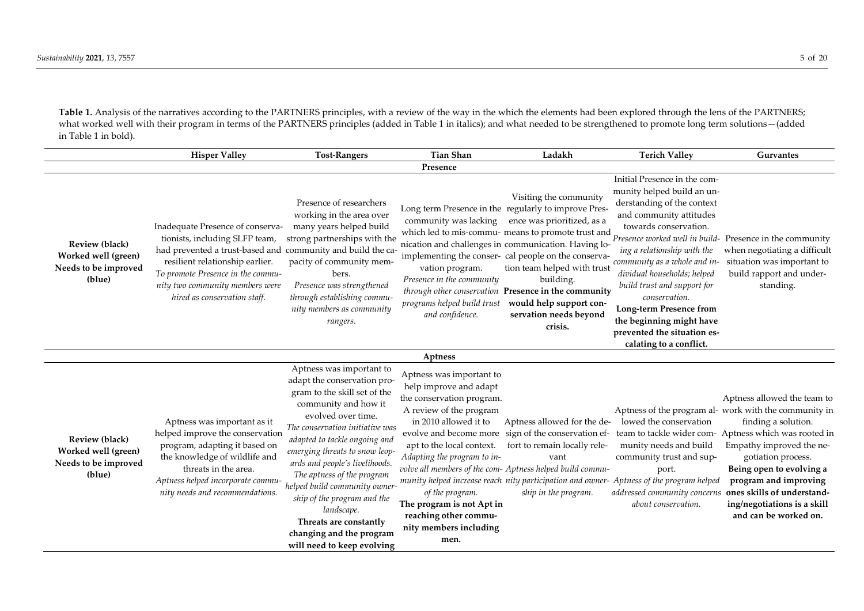Table 1. Analysis of the narratives according to the PARTNERS principles, with a review of the way in the which the elements had been explored through the lens of the PARTNERS; what worked well with their program in terms of the PARTNERS principles (added in Table 1 in italics); and what needed to be strengthened to promote long term solutions—(added in Table 1 in bold).

|                                                                                | <b>Hisper Valley</b>                                                                                                                                                                                                                                                         | <b>Tost-Rangers</b>                                                                                                                                                                                                                                                                                                                                                                                                                                                           | <b>Tian Shan</b>                                                                                                                                                                                                                                                                                           | Ladakh                                                                                                                                                                                                                                                                                                                                                                                                                                                 | <b>Terich Valley</b>                                                                                                                                                                                                                                                                                                                                                                                                                                                           | <b>Gurvantes</b>                                                                                                                                                                                                                                                           |  |
|--------------------------------------------------------------------------------|------------------------------------------------------------------------------------------------------------------------------------------------------------------------------------------------------------------------------------------------------------------------------|-------------------------------------------------------------------------------------------------------------------------------------------------------------------------------------------------------------------------------------------------------------------------------------------------------------------------------------------------------------------------------------------------------------------------------------------------------------------------------|------------------------------------------------------------------------------------------------------------------------------------------------------------------------------------------------------------------------------------------------------------------------------------------------------------|--------------------------------------------------------------------------------------------------------------------------------------------------------------------------------------------------------------------------------------------------------------------------------------------------------------------------------------------------------------------------------------------------------------------------------------------------------|--------------------------------------------------------------------------------------------------------------------------------------------------------------------------------------------------------------------------------------------------------------------------------------------------------------------------------------------------------------------------------------------------------------------------------------------------------------------------------|----------------------------------------------------------------------------------------------------------------------------------------------------------------------------------------------------------------------------------------------------------------------------|--|
| Presence                                                                       |                                                                                                                                                                                                                                                                              |                                                                                                                                                                                                                                                                                                                                                                                                                                                                               |                                                                                                                                                                                                                                                                                                            |                                                                                                                                                                                                                                                                                                                                                                                                                                                        |                                                                                                                                                                                                                                                                                                                                                                                                                                                                                |                                                                                                                                                                                                                                                                            |  |
| <b>Review (black)</b><br>Worked well (green)<br>Needs to be improved<br>(blue) | Inadequate Presence of conserva-<br>tionists, including SLFP team,<br>had prevented a trust-based and community and build the ca-<br>resilient relationship earlier.<br>To promote Presence in the commu-<br>nity two community members were<br>hired as conservation staff. | Presence of researchers<br>working in the area over<br>many years helped build<br>strong partnerships with the<br>pacity of community mem-<br>bers.<br>Presence was strengthened<br>through establishing commu-<br>nity members as community<br>rangers.                                                                                                                                                                                                                      | community was lacking<br>vation program.<br>Presence in the community<br>programs helped build trust<br>and confidence.                                                                                                                                                                                    | Visiting the community<br>Long term Presence in the regularly to improve Pres-<br>ence was prioritized, as a<br>which led to mis-commu- means to promote trust and<br>nication and challenges in communication. Having lo-<br>implementing the conser- cal people on the conserva-<br>tion team helped with trust<br>building.<br>through other conservation Presence in the community<br>would help support con-<br>servation needs beyond<br>crisis. | Initial Presence in the com-<br>munity helped build an un-<br>derstanding of the context<br>and community attitudes<br>towards conservation.<br>Presence worked well in build- Presence in the community<br>ing a relationship with the<br>community as a whole and in-<br>dividual households; helped<br>build trust and support for<br>conservation.<br><b>Long-term Presence from</b><br>the beginning might have<br>prevented the situation es-<br>calating to a conflict. | when negotiating a difficult<br>situation was important to<br>build rapport and under-<br>standing.                                                                                                                                                                        |  |
|                                                                                |                                                                                                                                                                                                                                                                              |                                                                                                                                                                                                                                                                                                                                                                                                                                                                               | Aptness                                                                                                                                                                                                                                                                                                    |                                                                                                                                                                                                                                                                                                                                                                                                                                                        |                                                                                                                                                                                                                                                                                                                                                                                                                                                                                |                                                                                                                                                                                                                                                                            |  |
| Review (black)<br>Worked well (green)<br>Needs to be improved<br>(blue)        | Aptness was important as it<br>helped improve the conservation<br>program, adapting it based on<br>the knowledge of wildlife and<br>threats in the area.<br>Aptness helped incorporate commu-<br>nity needs and recommendations.                                             | Aptness was important to<br>adapt the conservation pro-<br>gram to the skill set of the<br>community and how it<br>evolved over time.<br>The conservation initiative was<br>adapted to tackle ongoing and<br>emerging threats to snow leop-<br>ards and people's livelihoods.<br>The aptness of the program<br>helped build community owner-<br>ship of the program and the<br>landscape.<br>Threats are constantly<br>changing and the program<br>will need to keep evolving | Aptness was important to<br>help improve and adapt<br>the conservation program.<br>A review of the program<br>in 2010 allowed it to<br>apt to the local context.<br>Adapting the program to in-<br>of the program.<br>The program is not Apt in<br>reaching other commu-<br>nity members including<br>men. | Aptness allowed for the de-<br>fort to remain locally rele-<br>vant<br>volve all members of the com- Aptness helped build commu-<br>ship in the program.                                                                                                                                                                                                                                                                                               | lowed the conservation<br>evolve and become more sign of the conservation ef- team to tackle wider com- Aptness which was rooted in<br>munity needs and build<br>community trust and sup-<br>port.<br>munity helped increase reach nity participation and owner- Aptness of the program helped<br>addressed community concerns ones skills of understand-<br>about conservation.                                                                                               | Aptness allowed the team to<br>Aptness of the program al- work with the community in<br>finding a solution.<br>Empathy improved the ne-<br>gotiation process.<br>Being open to evolving a<br>program and improving<br>ing/negotiations is a skill<br>and can be worked on. |  |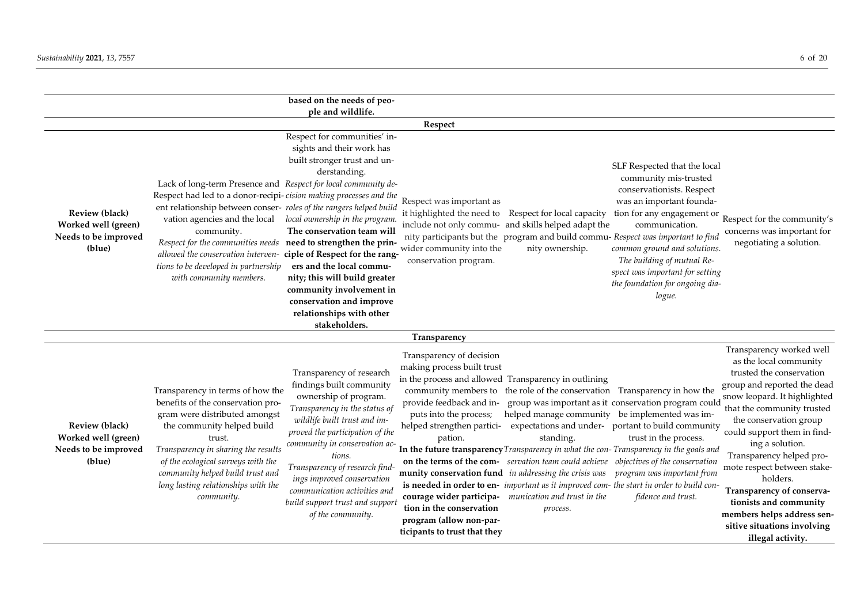|                                                                                | based on the needs of peo-                                                                                                                                                                                                                                                                                                                                                                                                                                                                                                                                                                                                                                                                                                                                                                                                                                                                                                                                   |                                                                                                                                                                                                                                                                                                                                                                                                                                                                                                                                                                                                                                                                                                                                                                                                                                                                                                                                                                                                                                                                                                                                                                                                                                                                                  |
|--------------------------------------------------------------------------------|--------------------------------------------------------------------------------------------------------------------------------------------------------------------------------------------------------------------------------------------------------------------------------------------------------------------------------------------------------------------------------------------------------------------------------------------------------------------------------------------------------------------------------------------------------------------------------------------------------------------------------------------------------------------------------------------------------------------------------------------------------------------------------------------------------------------------------------------------------------------------------------------------------------------------------------------------------------|----------------------------------------------------------------------------------------------------------------------------------------------------------------------------------------------------------------------------------------------------------------------------------------------------------------------------------------------------------------------------------------------------------------------------------------------------------------------------------------------------------------------------------------------------------------------------------------------------------------------------------------------------------------------------------------------------------------------------------------------------------------------------------------------------------------------------------------------------------------------------------------------------------------------------------------------------------------------------------------------------------------------------------------------------------------------------------------------------------------------------------------------------------------------------------------------------------------------------------------------------------------------------------|
|                                                                                | ple and wildlife.                                                                                                                                                                                                                                                                                                                                                                                                                                                                                                                                                                                                                                                                                                                                                                                                                                                                                                                                            |                                                                                                                                                                                                                                                                                                                                                                                                                                                                                                                                                                                                                                                                                                                                                                                                                                                                                                                                                                                                                                                                                                                                                                                                                                                                                  |
| <b>Review (black)</b><br>Worked well (green)<br>Needs to be improved<br>(blue) | Respect<br>Respect for communities' in-<br>sights and their work has<br>built stronger trust and un-<br>derstanding.<br>Lack of long-term Presence and Respect for local community de-<br>Respect had led to a donor-recipi-cision making processes and the<br>Respect was important as<br>ent relationship between conser- roles of the rangers helped build<br>it highlighted the need to<br>local ownership in the program.<br>vation agencies and the local<br>The conservation team will<br>community.<br>Respect for the communities needs need to strengthen the prin-<br>wider community into the<br>ciple of Respect for the rang-<br>allowed the conservation interven-<br>conservation program.<br>ers and the local commu-<br>tions to be developed in partnership<br>with community members.<br>nity; this will build greater<br>community involvement in<br>conservation and improve<br>relationships with other                               | SLF Respected that the local<br>community mis-trusted<br>conservationists. Respect<br>was an important founda-<br>Respect for local capacity<br>tion for any engagement or<br>Respect for the community's<br>include not only commu- and skills helped adapt the<br>communication.<br>concerns was important for<br>nity participants but the program and build commu- Respect was important to find<br>negotiating a solution.<br>nity ownership.<br>common ground and solutions.<br>The building of mutual Re-<br>spect was important for setting<br>the foundation for ongoing dia-<br>logue.                                                                                                                                                                                                                                                                                                                                                                                                                                                                                                                                                                                                                                                                                 |
|                                                                                | stakeholders.<br>Transparency                                                                                                                                                                                                                                                                                                                                                                                                                                                                                                                                                                                                                                                                                                                                                                                                                                                                                                                                |                                                                                                                                                                                                                                                                                                                                                                                                                                                                                                                                                                                                                                                                                                                                                                                                                                                                                                                                                                                                                                                                                                                                                                                                                                                                                  |
| <b>Review (black)</b><br>Worked well (green)<br>Needs to be improved<br>(blue) | Transparency of decision<br>making process built trust<br>Transparency of research<br>findings built community<br>Transparency in terms of how the<br>ownership of program.<br>benefits of the conservation pro-<br>provide feedback and in-<br>Transparency in the status of<br>gram were distributed amongst<br>puts into the process;<br>wildlife built trust and im-<br>the community helped build<br>helped strengthen partici-<br>proved the participation of the<br>trust.<br>pation.<br>community in conservation ac-<br>Transparency in sharing the results<br>tions.<br>of the ecological surveys with the<br>Transparency of research find-<br>community helped build trust and<br>ings improved conservation<br>long lasting relationships with the<br>communication activities and<br>community.<br>build support trust and support<br>tion in the conservation<br>of the community.<br>program (allow non-par-<br>ticipants to trust that they | Transparency worked well<br>as the local community<br>trusted the conservation<br>in the process and allowed Transparency in outlining<br>group and reported the dead<br>community members to the role of the conservation Transparency in how the<br>snow leopard. It highlighted<br>group was important as it conservation program could<br>that the community trusted<br>helped manage community be implemented was im-<br>the conservation group<br>expectations and under- portant to build community<br>could support them in find-<br>trust in the process.<br>standing.<br>ing a solution.<br>In the future transparency Transparency in what the con-Transparency in the goals and<br>Transparency helped pro-<br>on the terms of the com-<br>servation team could achieve objectives of the conservation<br>mote respect between stake-<br>munity conservation fund in addressing the crisis was program was important from<br>holders.<br>is needed in order to en- important as it improved com- the start in order to build con-<br>Transparency of conserva-<br>courage wider participa- munication and trust in the<br>fidence and trust.<br>tionists and community<br>process.<br>members helps address sen-<br>sitive situations involving<br>illegal activity. |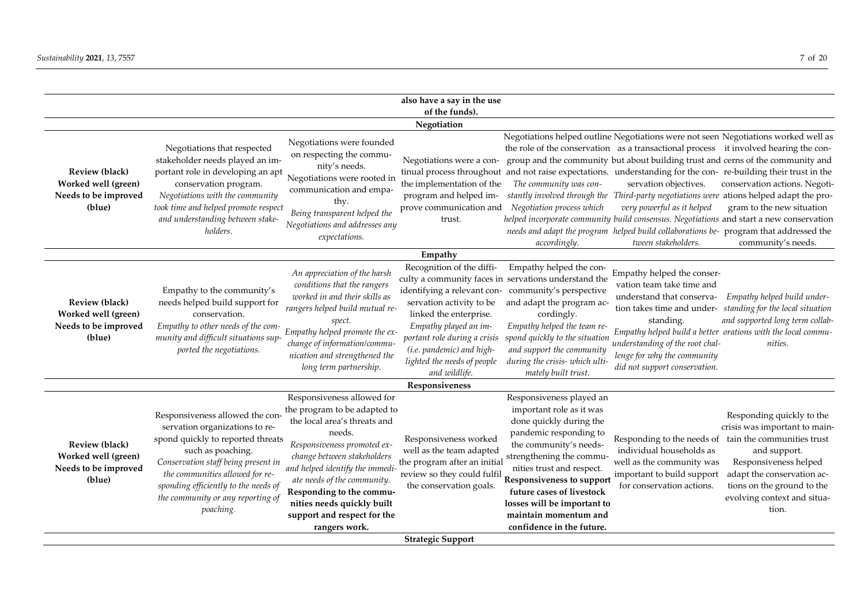|                                                                                |                                                                                                                                                                                                                                                                                                 |                                                                                                                                                                                                                                                                                                                                                | also have a say in the use<br>of the funds).                                                                                                                                                                          |                                                                                                                                                                                                                                                                                                                                             |                                                                                                                                                                                                      |                                                                                                                                                                                                                                                                                                                                                                                                                                                                                                                                                                                                                                                             |  |
|--------------------------------------------------------------------------------|-------------------------------------------------------------------------------------------------------------------------------------------------------------------------------------------------------------------------------------------------------------------------------------------------|------------------------------------------------------------------------------------------------------------------------------------------------------------------------------------------------------------------------------------------------------------------------------------------------------------------------------------------------|-----------------------------------------------------------------------------------------------------------------------------------------------------------------------------------------------------------------------|---------------------------------------------------------------------------------------------------------------------------------------------------------------------------------------------------------------------------------------------------------------------------------------------------------------------------------------------|------------------------------------------------------------------------------------------------------------------------------------------------------------------------------------------------------|-------------------------------------------------------------------------------------------------------------------------------------------------------------------------------------------------------------------------------------------------------------------------------------------------------------------------------------------------------------------------------------------------------------------------------------------------------------------------------------------------------------------------------------------------------------------------------------------------------------------------------------------------------------|--|
|                                                                                |                                                                                                                                                                                                                                                                                                 |                                                                                                                                                                                                                                                                                                                                                | Negotiation                                                                                                                                                                                                           |                                                                                                                                                                                                                                                                                                                                             |                                                                                                                                                                                                      |                                                                                                                                                                                                                                                                                                                                                                                                                                                                                                                                                                                                                                                             |  |
| <b>Review (black)</b><br>Worked well (green)<br>Needs to be improved<br>(blue) | Negotiations that respected<br>stakeholder needs played an im-<br>portant role in developing an apt<br>conservation program.<br>Negotiations with the community<br>took time and helped promote respect<br>and understanding between stake-<br>holders.                                         | Negotiations were founded<br>on respecting the commu-<br>nity's needs.<br>Negotiations were rooted in<br>communication and empa-<br>thy.<br>Being transparent helped the<br>Negotiations and addresses any<br>expectations.                                                                                                                    | Negotiations were a con-<br>the implementation of the<br>program and helped im-<br>prove communication and<br>trust.                                                                                                  | The community was con-<br>Negotiation process which<br>accordingly.                                                                                                                                                                                                                                                                         | the role of the conservation as a transactional process it involved hearing the con-<br>servation objectives.<br>very powerful as it helped<br>tween stakeholders.                                   | Negotiations helped outline Negotiations were not seen Negotiations worked well as<br>group and the community but about building trust and cerns of the community and<br>tinual process throughout and not raise expectations. understanding for the con-re-building their trust in the<br>conservation actions. Negoti-<br>stantly involved through the Third-party negotiations were ations helped adapt the pro-<br>gram to the new situation<br>helped incorporate community build consensus. Negotiations and start a new conservation<br>needs and adapt the program helped build collaborations be- program that addressed the<br>community's needs. |  |
| Empathy                                                                        |                                                                                                                                                                                                                                                                                                 |                                                                                                                                                                                                                                                                                                                                                |                                                                                                                                                                                                                       |                                                                                                                                                                                                                                                                                                                                             |                                                                                                                                                                                                      |                                                                                                                                                                                                                                                                                                                                                                                                                                                                                                                                                                                                                                                             |  |
| Review (black)<br>Worked well (green)<br>Needs to be improved<br>(blue)        | Empathy to the community's<br>needs helped build support for<br>conservation.<br>Empathy to other needs of the com-<br>munity and difficult situations sup-<br>ported the negotiations.                                                                                                         | An appreciation of the harsh<br>conditions that the rangers<br>worked in and their skills as<br>rangers helped build mutual re-<br>spect.<br>Empathy helped promote the ex-<br>change of information/commu-<br>nication and strengthened the<br>long term partnership.                                                                         | Recognition of the diffi-<br>servation activity to be<br>linked the enterprise.<br>Empathy played an im-<br>portant role during a crisis<br>(i.e. pandemic) and high-<br>lighted the needs of people<br>and wildlife. | Empathy helped the con-<br>culty a community faces in servations understand the<br>identifying a relevant con- community's perspective<br>and adapt the program ac-<br>cordingly.<br>Empathy helped the team re-<br>spond quickly to the situation<br>and support the community<br>during the crisis- which ulti-<br>mately built trust.    | Empathy helped the conser-<br>vation team take time and<br>understand that conserva-<br>standing.<br>understanding of the root chal-<br>lenge for why the community<br>did not support conservation. | Empathy helped build under-<br>tion takes time and under- standing for the local situation<br>and supported long term collab-<br>Empathy helped build a better orations with the local commu-<br>nities.                                                                                                                                                                                                                                                                                                                                                                                                                                                    |  |
|                                                                                |                                                                                                                                                                                                                                                                                                 |                                                                                                                                                                                                                                                                                                                                                | Responsiveness                                                                                                                                                                                                        |                                                                                                                                                                                                                                                                                                                                             |                                                                                                                                                                                                      |                                                                                                                                                                                                                                                                                                                                                                                                                                                                                                                                                                                                                                                             |  |
| <b>Review (black)</b><br>Worked well (green)<br>Needs to be improved<br>(blue) | Responsiveness allowed the con-<br>servation organizations to re-<br>spond quickly to reported threats<br>such as poaching.<br>Conservation staff being present in<br>the communities allowed for re-<br>sponding efficiently to the needs of<br>the community or any reporting of<br>poaching. | Responsiveness allowed for<br>the program to be adapted to<br>the local area's threats and<br>needs.<br>Responsiveness promoted ex-<br>change between stakeholders<br>and helped identify the immedi-<br>ate needs of the community.<br>Responding to the commu-<br>nities needs quickly built<br>support and respect for the<br>rangers work. | Responsiveness worked<br>well as the team adapted<br>the program after an initial<br>review so they could fulfil<br>the conservation goals.                                                                           | Responsiveness played an<br>important role as it was<br>done quickly during the<br>pandemic responding to<br>the community's needs-<br>strengthening the commu-<br>nities trust and respect.<br>Responsiveness to support<br>future cases of livestock<br>losses will be important to<br>maintain momentum and<br>confidence in the future. | individual households as<br>well as the community was<br>important to build support<br>for conservation actions.                                                                                     | Responding quickly to the<br>crisis was important to main-<br>Responding to the needs of tain the communities trust<br>and support.<br>Responsiveness helped<br>adapt the conservation ac-<br>tions on the ground to the<br>evolving context and situa-<br>tion.                                                                                                                                                                                                                                                                                                                                                                                            |  |
|                                                                                |                                                                                                                                                                                                                                                                                                 |                                                                                                                                                                                                                                                                                                                                                | <b>Strategic Support</b>                                                                                                                                                                                              |                                                                                                                                                                                                                                                                                                                                             |                                                                                                                                                                                                      |                                                                                                                                                                                                                                                                                                                                                                                                                                                                                                                                                                                                                                                             |  |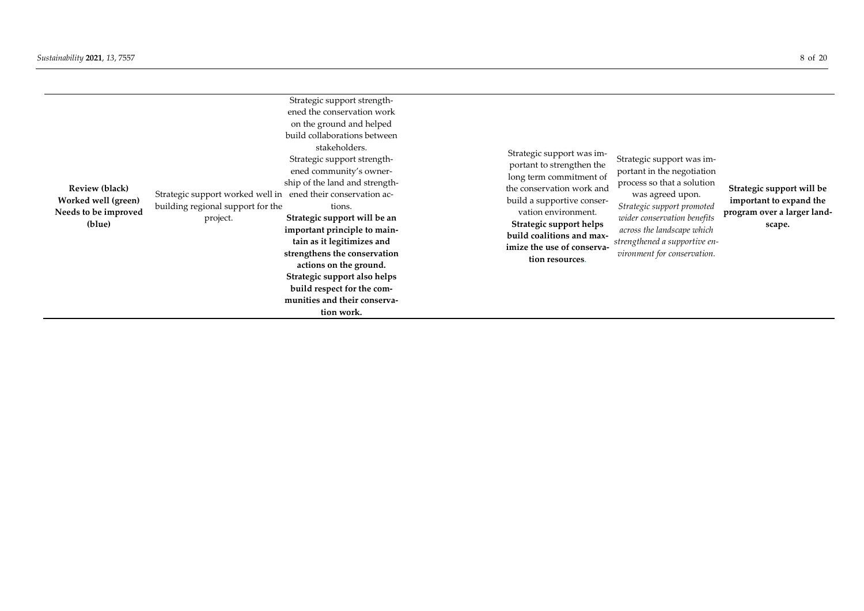| <b>Review (black)</b><br>Worked well (green)<br>Needs to be improved<br>(blue) | Strategic support worked well in ened their conservation ac-<br>building regional support for the<br>project. | Strategic support strength-<br>ened the conservation work<br>on the ground and helped<br>build collaborations between<br>stakeholders.<br>Strategic support strength-<br>ened community's owner-<br>ship of the land and strength-<br>tions.<br>Strategic support will be an<br>important principle to main-<br>tain as it legitimizes and<br>strengthens the conservation<br>actions on the ground.<br>Strategic support also helps<br>build respect for the com-<br>munities and their conserva-<br>tion work. | Strategic support was im-<br>portant to strengthen the<br>long term commitment of<br>the conservation work and<br>build a supportive conser-<br>vation environment.<br>Strategic support helps<br>build coalitions and max-<br>imize the use of conserva-<br>tion resources. | Strategic support was im-<br>portant in the negotiation<br>process so that a solution<br>was agreed upon.<br>Strategic support promoted<br>wider conservation benefits<br>across the landscape which<br>strengthened a supportive en-<br>vironment for conservation. | Strategic support will be<br>important to expand the<br>program over a larger land-<br>scape. |
|--------------------------------------------------------------------------------|---------------------------------------------------------------------------------------------------------------|------------------------------------------------------------------------------------------------------------------------------------------------------------------------------------------------------------------------------------------------------------------------------------------------------------------------------------------------------------------------------------------------------------------------------------------------------------------------------------------------------------------|------------------------------------------------------------------------------------------------------------------------------------------------------------------------------------------------------------------------------------------------------------------------------|----------------------------------------------------------------------------------------------------------------------------------------------------------------------------------------------------------------------------------------------------------------------|-----------------------------------------------------------------------------------------------|
|--------------------------------------------------------------------------------|---------------------------------------------------------------------------------------------------------------|------------------------------------------------------------------------------------------------------------------------------------------------------------------------------------------------------------------------------------------------------------------------------------------------------------------------------------------------------------------------------------------------------------------------------------------------------------------------------------------------------------------|------------------------------------------------------------------------------------------------------------------------------------------------------------------------------------------------------------------------------------------------------------------------------|----------------------------------------------------------------------------------------------------------------------------------------------------------------------------------------------------------------------------------------------------------------------|-----------------------------------------------------------------------------------------------|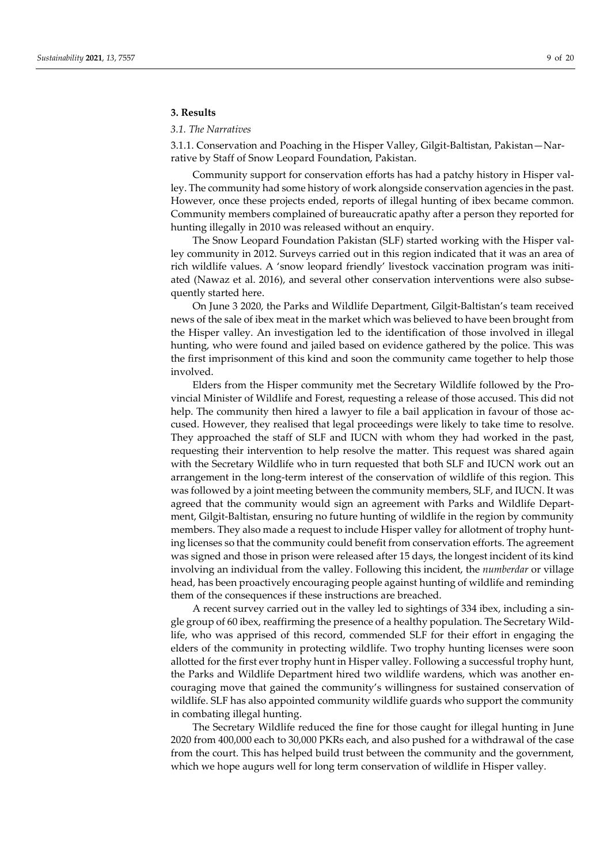#### **3. Results**

#### *3.1. The Narratives*

3.1.1. Conservation and Poaching in the Hisper Valley, Gilgit-Baltistan, Pakistan—Narrative by Staff of Snow Leopard Foundation, Pakistan.

Community support for conservation efforts has had a patchy history in Hisper valley. The community had some history of work alongside conservation agencies in the past. However, once these projects ended, reports of illegal hunting of ibex became common. Community members complained of bureaucratic apathy after a person they reported for hunting illegally in 2010 was released without an enquiry.

The Snow Leopard Foundation Pakistan (SLF) started working with the Hisper valley community in 2012. Surveys carried out in this region indicated that it was an area of rich wildlife values. A 'snow leopard friendly' livestock vaccination program was initiated (Nawaz et al. 2016), and several other conservation interventions were also subsequently started here.

On June 3 2020, the Parks and Wildlife Department, Gilgit-Baltistan's team received news of the sale of ibex meat in the market which was believed to have been brought from the Hisper valley. An investigation led to the identification of those involved in illegal hunting, who were found and jailed based on evidence gathered by the police. This was the first imprisonment of this kind and soon the community came together to help those involved.

Elders from the Hisper community met the Secretary Wildlife followed by the Provincial Minister of Wildlife and Forest, requesting a release of those accused. This did not help. The community then hired a lawyer to file a bail application in favour of those accused. However, they realised that legal proceedings were likely to take time to resolve. They approached the staff of SLF and IUCN with whom they had worked in the past, requesting their intervention to help resolve the matter. This request was shared again with the Secretary Wildlife who in turn requested that both SLF and IUCN work out an arrangement in the long-term interest of the conservation of wildlife of this region. This was followed by a joint meeting between the community members, SLF, and IUCN. It was agreed that the community would sign an agreement with Parks and Wildlife Department, Gilgit-Baltistan, ensuring no future hunting of wildlife in the region by community members. They also made a request to include Hisper valley for allotment of trophy hunting licenses so that the community could benefit from conservation efforts. The agreement was signed and those in prison were released after 15 days, the longest incident of its kind involving an individual from the valley. Following this incident, the *numberdar* or village head, has been proactively encouraging people against hunting of wildlife and reminding them of the consequences if these instructions are breached.

A recent survey carried out in the valley led to sightings of 334 ibex, including a single group of 60 ibex, reaffirming the presence of a healthy population. The Secretary Wildlife, who was apprised of this record, commended SLF for their effort in engaging the elders of the community in protecting wildlife. Two trophy hunting licenses were soon allotted for the first ever trophy hunt in Hisper valley. Following a successful trophy hunt, the Parks and Wildlife Department hired two wildlife wardens, which was another encouraging move that gained the community's willingness for sustained conservation of wildlife. SLF has also appointed community wildlife guards who support the community in combating illegal hunting.

The Secretary Wildlife reduced the fine for those caught for illegal hunting in June 2020 from 400,000 each to 30,000 PKRs each, and also pushed for a withdrawal of the case from the court. This has helped build trust between the community and the government, which we hope augurs well for long term conservation of wildlife in Hisper valley.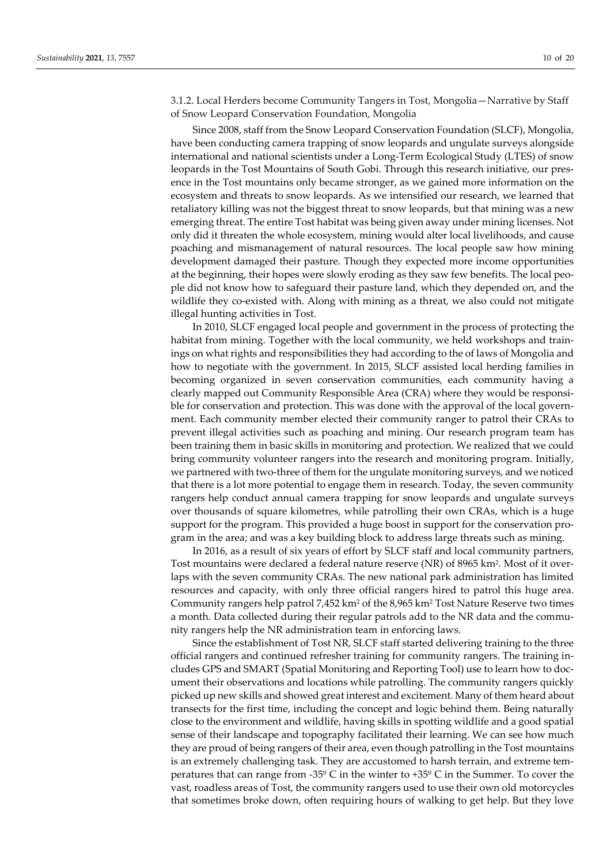3.1.2. Local Herders become Community Tangers in Tost, Mongolia—Narrative by Staff of Snow Leopard Conservation Foundation, Mongolia

Since 2008, staff from the Snow Leopard Conservation Foundation (SLCF), Mongolia, have been conducting camera trapping of snow leopards and ungulate surveys alongside international and national scientists under a Long-Term Ecological Study (LTES) of snow leopards in the Tost Mountains of South Gobi. Through this research initiative, our presence in the Tost mountains only became stronger, as we gained more information on the ecosystem and threats to snow leopards. As we intensified our research, we learned that retaliatory killing was not the biggest threat to snow leopards, but that mining was a new emerging threat. The entire Tost habitat was being given away under mining licenses. Not only did it threaten the whole ecosystem, mining would alter local livelihoods, and cause poaching and mismanagement of natural resources. The local people saw how mining development damaged their pasture. Though they expected more income opportunities at the beginning, their hopes were slowly eroding as they saw few benefits. The local people did not know how to safeguard their pasture land, which they depended on, and the wildlife they co-existed with. Along with mining as a threat, we also could not mitigate illegal hunting activities in Tost.

In 2010, SLCF engaged local people and government in the process of protecting the habitat from mining. Together with the local community, we held workshops and trainings on what rights and responsibilities they had according to the of laws of Mongolia and how to negotiate with the government. In 2015, SLCF assisted local herding families in becoming organized in seven conservation communities, each community having a clearly mapped out Community Responsible Area (CRA) where they would be responsible for conservation and protection. This was done with the approval of the local government. Each community member elected their community ranger to patrol their CRAs to prevent illegal activities such as poaching and mining. Our research program team has been training them in basic skills in monitoring and protection. We realized that we could bring community volunteer rangers into the research and monitoring program. Initially, we partnered with two-three of them for the ungulate monitoring surveys, and we noticed that there is a lot more potential to engage them in research. Today, the seven community rangers help conduct annual camera trapping for snow leopards and ungulate surveys over thousands of square kilometres, while patrolling their own CRAs, which is a huge support for the program. This provided a huge boost in support for the conservation program in the area; and was a key building block to address large threats such as mining.

In 2016, as a result of six years of effort by SLCF staff and local community partners, Tost mountains were declared a federal nature reserve (NR) of 8965 km2. Most of it overlaps with the seven community CRAs. The new national park administration has limited resources and capacity, with only three official rangers hired to patrol this huge area. Community rangers help patrol 7,452 km<sup>2</sup> of the 8,965 km<sup>2</sup> Tost Nature Reserve two times a month. Data collected during their regular patrols add to the NR data and the community rangers help the NR administration team in enforcing laws.

Since the establishment of Tost NR, SLCF staff started delivering training to the three official rangers and continued refresher training for community rangers. The training includes GPS and SMART (Spatial Monitoring and Reporting Tool) use to learn how to document their observations and locations while patrolling. The community rangers quickly picked up new skills and showed great interest and excitement. Many of them heard about transects for the first time, including the concept and logic behind them. Being naturally close to the environment and wildlife, having skills in spotting wildlife and a good spatial sense of their landscape and topography facilitated their learning. We can see how much they are proud of being rangers of their area, even though patrolling in the Tost mountains is an extremely challenging task. They are accustomed to harsh terrain, and extreme temperatures that can range from -35º C in the winter to +35º C in the Summer. To cover the vast, roadless areas of Tost, the community rangers used to use their own old motorcycles that sometimes broke down, often requiring hours of walking to get help. But they love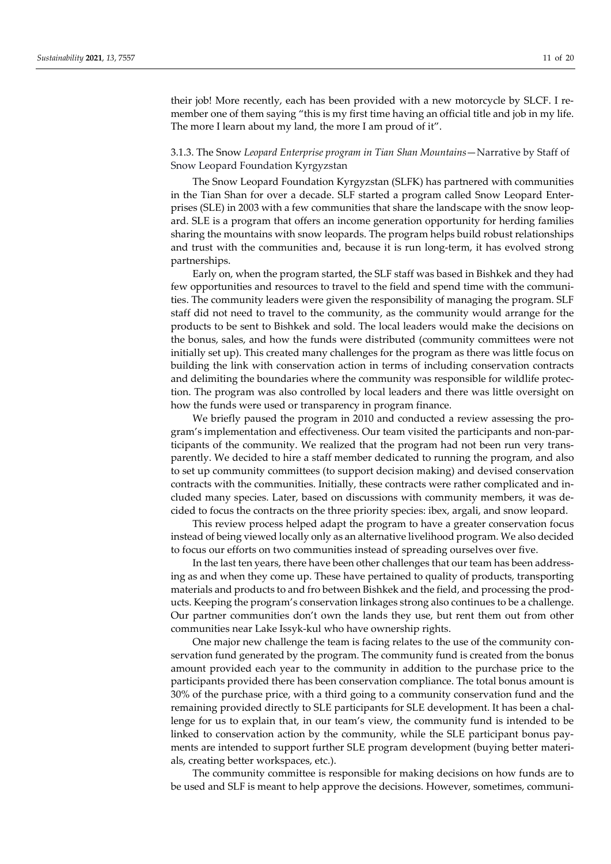their job! More recently, each has been provided with a new motorcycle by SLCF. I remember one of them saying "this is my first time having an official title and job in my life. The more I learn about my land, the more I am proud of it".

# 3.1.3. The Snow *Leopard Enterprise program in Tian Shan Mountains*—Narrative by Staff of Snow Leopard Foundation Kyrgyzstan

The Snow Leopard Foundation Kyrgyzstan (SLFK) has partnered with communities in the Tian Shan for over a decade. SLF started a program called Snow Leopard Enterprises (SLE) in 2003 with a few communities that share the landscape with the snow leopard. SLE is a program that offers an income generation opportunity for herding families sharing the mountains with snow leopards. The program helps build robust relationships and trust with the communities and, because it is run long-term, it has evolved strong partnerships.

Early on, when the program started, the SLF staff was based in Bishkek and they had few opportunities and resources to travel to the field and spend time with the communities. The community leaders were given the responsibility of managing the program. SLF staff did not need to travel to the community, as the community would arrange for the products to be sent to Bishkek and sold. The local leaders would make the decisions on the bonus, sales, and how the funds were distributed (community committees were not initially set up). This created many challenges for the program as there was little focus on building the link with conservation action in terms of including conservation contracts and delimiting the boundaries where the community was responsible for wildlife protection. The program was also controlled by local leaders and there was little oversight on how the funds were used or transparency in program finance.

We briefly paused the program in 2010 and conducted a review assessing the program's implementation and effectiveness. Our team visited the participants and non-participants of the community. We realized that the program had not been run very transparently. We decided to hire a staff member dedicated to running the program, and also to set up community committees (to support decision making) and devised conservation contracts with the communities. Initially, these contracts were rather complicated and included many species. Later, based on discussions with community members, it was decided to focus the contracts on the three priority species: ibex, argali, and snow leopard.

This review process helped adapt the program to have a greater conservation focus instead of being viewed locally only as an alternative livelihood program. We also decided to focus our efforts on two communities instead of spreading ourselves over five.

In the last ten years, there have been other challenges that our team has been addressing as and when they come up. These have pertained to quality of products, transporting materials and products to and fro between Bishkek and the field, and processing the products. Keeping the program's conservation linkages strong also continues to be a challenge. Our partner communities don't own the lands they use, but rent them out from other communities near Lake Issyk-kul who have ownership rights.

One major new challenge the team is facing relates to the use of the community conservation fund generated by the program. The community fund is created from the bonus amount provided each year to the community in addition to the purchase price to the participants provided there has been conservation compliance. The total bonus amount is 30% of the purchase price, with a third going to a community conservation fund and the remaining provided directly to SLE participants for SLE development. It has been a challenge for us to explain that, in our team's view, the community fund is intended to be linked to conservation action by the community, while the SLE participant bonus payments are intended to support further SLE program development (buying better materials, creating better workspaces, etc.).

The community committee is responsible for making decisions on how funds are to be used and SLF is meant to help approve the decisions. However, sometimes, communi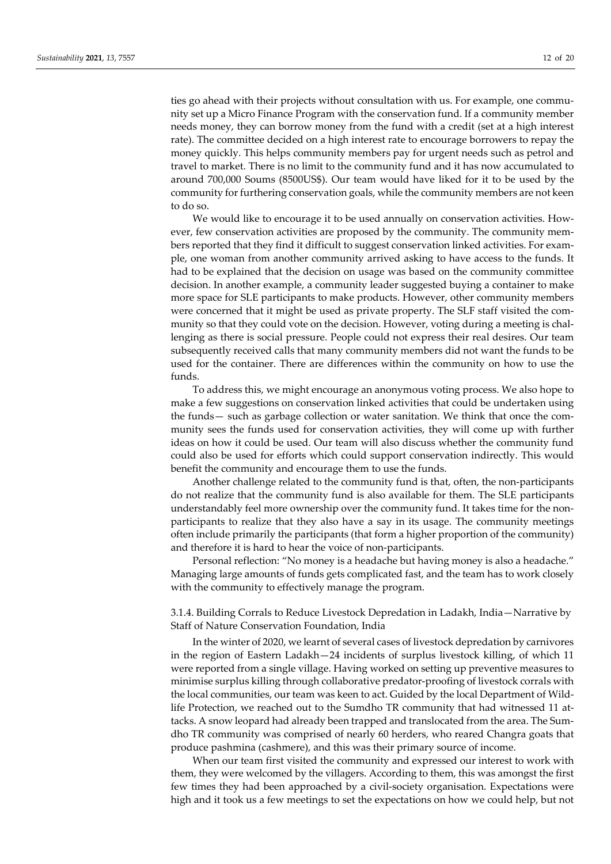ties go ahead with their projects without consultation with us. For example, one community set up a Micro Finance Program with the conservation fund. If a community member needs money, they can borrow money from the fund with a credit (set at a high interest rate). The committee decided on a high interest rate to encourage borrowers to repay the money quickly. This helps community members pay for urgent needs such as petrol and travel to market. There is no limit to the community fund and it has now accumulated to around 700,000 Soums (8500US\$). Our team would have liked for it to be used by the community for furthering conservation goals, while the community members are not keen to do so.

We would like to encourage it to be used annually on conservation activities. However, few conservation activities are proposed by the community. The community members reported that they find it difficult to suggest conservation linked activities. For example, one woman from another community arrived asking to have access to the funds. It had to be explained that the decision on usage was based on the community committee decision. In another example, a community leader suggested buying a container to make more space for SLE participants to make products. However, other community members were concerned that it might be used as private property. The SLF staff visited the community so that they could vote on the decision. However, voting during a meeting is challenging as there is social pressure. People could not express their real desires. Our team subsequently received calls that many community members did not want the funds to be used for the container. There are differences within the community on how to use the funds.

To address this, we might encourage an anonymous voting process. We also hope to make a few suggestions on conservation linked activities that could be undertaken using the funds— such as garbage collection or water sanitation. We think that once the community sees the funds used for conservation activities, they will come up with further ideas on how it could be used. Our team will also discuss whether the community fund could also be used for efforts which could support conservation indirectly. This would benefit the community and encourage them to use the funds.

Another challenge related to the community fund is that, often, the non-participants do not realize that the community fund is also available for them. The SLE participants understandably feel more ownership over the community fund. It takes time for the nonparticipants to realize that they also have a say in its usage. The community meetings often include primarily the participants (that form a higher proportion of the community) and therefore it is hard to hear the voice of non-participants.

Personal reflection: "No money is a headache but having money is also a headache." Managing large amounts of funds gets complicated fast, and the team has to work closely with the community to effectively manage the program.

3.1.4. Building Corrals to Reduce Livestock Depredation in Ladakh, India—Narrative by Staff of Nature Conservation Foundation, India

In the winter of 2020, we learnt of several cases of livestock depredation by carnivores in the region of Eastern Ladakh—24 incidents of surplus livestock killing, of which 11 were reported from a single village. Having worked on setting up preventive measures to minimise surplus killing through collaborative predator-proofing of livestock corrals with the local communities, our team was keen to act. Guided by the local Department of Wildlife Protection, we reached out to the Sumdho TR community that had witnessed 11 attacks. A snow leopard had already been trapped and translocated from the area. The Sumdho TR community was comprised of nearly 60 herders, who reared Changra goats that produce pashmina (cashmere), and this was their primary source of income.

When our team first visited the community and expressed our interest to work with them, they were welcomed by the villagers. According to them, this was amongst the first few times they had been approached by a civil-society organisation. Expectations were high and it took us a few meetings to set the expectations on how we could help, but not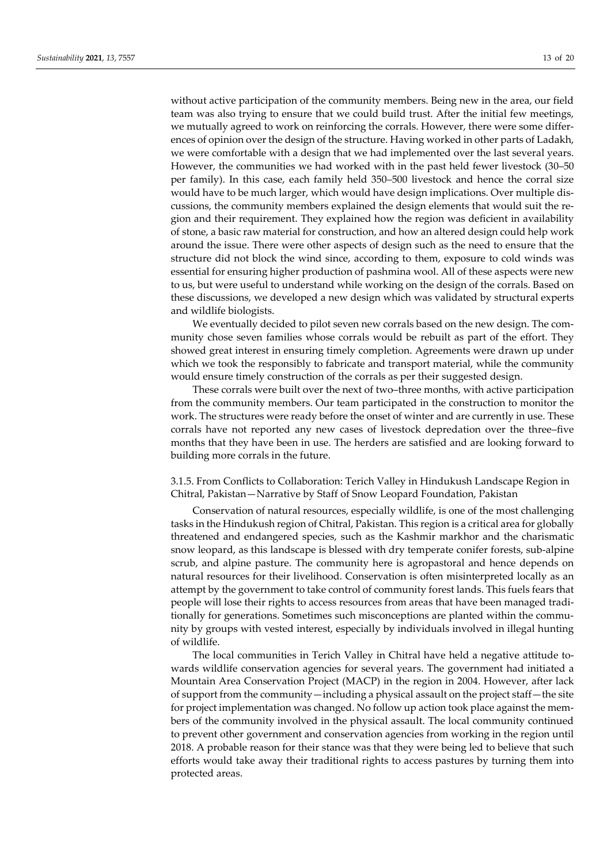without active participation of the community members. Being new in the area, our field team was also trying to ensure that we could build trust. After the initial few meetings, we mutually agreed to work on reinforcing the corrals. However, there were some differences of opinion over the design of the structure. Having worked in other parts of Ladakh, we were comfortable with a design that we had implemented over the last several years. However, the communities we had worked with in the past held fewer livestock (30–50 per family). In this case, each family held 350–500 livestock and hence the corral size would have to be much larger, which would have design implications. Over multiple discussions, the community members explained the design elements that would suit the region and their requirement. They explained how the region was deficient in availability of stone, a basic raw material for construction, and how an altered design could help work around the issue. There were other aspects of design such as the need to ensure that the structure did not block the wind since, according to them, exposure to cold winds was essential for ensuring higher production of pashmina wool. All of these aspects were new to us, but were useful to understand while working on the design of the corrals. Based on these discussions, we developed a new design which was validated by structural experts and wildlife biologists.

We eventually decided to pilot seven new corrals based on the new design. The community chose seven families whose corrals would be rebuilt as part of the effort. They showed great interest in ensuring timely completion. Agreements were drawn up under which we took the responsibly to fabricate and transport material, while the community would ensure timely construction of the corrals as per their suggested design.

These corrals were built over the next of two–three months, with active participation from the community members. Our team participated in the construction to monitor the work. The structures were ready before the onset of winter and are currently in use. These corrals have not reported any new cases of livestock depredation over the three–five months that they have been in use. The herders are satisfied and are looking forward to building more corrals in the future.

# 3.1.5. From Conflicts to Collaboration: Terich Valley in Hindukush Landscape Region in Chitral, Pakistan—Narrative by Staff of Snow Leopard Foundation, Pakistan

Conservation of natural resources, especially wildlife, is one of the most challenging tasks in the Hindukush region of Chitral, Pakistan. This region is a critical area for globally threatened and endangered species, such as the Kashmir markhor and the charismatic snow leopard, as this landscape is blessed with dry temperate conifer forests, sub-alpine scrub, and alpine pasture. The community here is agropastoral and hence depends on natural resources for their livelihood. Conservation is often misinterpreted locally as an attempt by the government to take control of community forest lands. This fuels fears that people will lose their rights to access resources from areas that have been managed traditionally for generations. Sometimes such misconceptions are planted within the community by groups with vested interest, especially by individuals involved in illegal hunting of wildlife.

The local communities in Terich Valley in Chitral have held a negative attitude towards wildlife conservation agencies for several years. The government had initiated a Mountain Area Conservation Project (MACP) in the region in 2004. However, after lack of support from the community—including a physical assault on the project staff—the site for project implementation was changed. No follow up action took place against the members of the community involved in the physical assault. The local community continued to prevent other government and conservation agencies from working in the region until 2018. A probable reason for their stance was that they were being led to believe that such efforts would take away their traditional rights to access pastures by turning them into protected areas.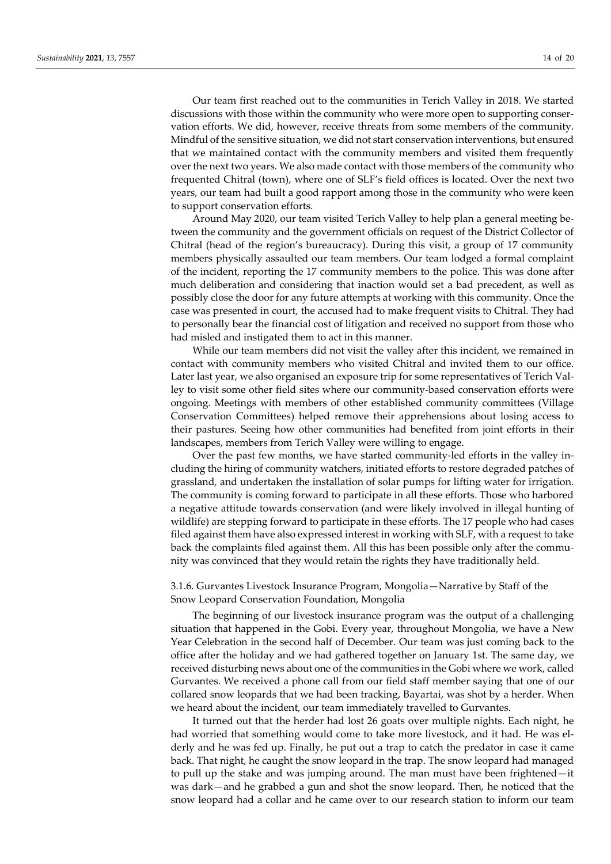Our team first reached out to the communities in Terich Valley in 2018. We started discussions with those within the community who were more open to supporting conservation efforts. We did, however, receive threats from some members of the community. Mindful of the sensitive situation, we did not start conservation interventions, but ensured that we maintained contact with the community members and visited them frequently over the next two years. We also made contact with those members of the community who frequented Chitral (town), where one of SLF's field offices is located. Over the next two years, our team had built a good rapport among those in the community who were keen to support conservation efforts.

Around May 2020, our team visited Terich Valley to help plan a general meeting between the community and the government officials on request of the District Collector of Chitral (head of the region's bureaucracy). During this visit, a group of 17 community members physically assaulted our team members. Our team lodged a formal complaint of the incident, reporting the 17 community members to the police. This was done after much deliberation and considering that inaction would set a bad precedent, as well as possibly close the door for any future attempts at working with this community. Once the case was presented in court, the accused had to make frequent visits to Chitral. They had to personally bear the financial cost of litigation and received no support from those who had misled and instigated them to act in this manner.

While our team members did not visit the valley after this incident, we remained in contact with community members who visited Chitral and invited them to our office. Later last year, we also organised an exposure trip for some representatives of Terich Valley to visit some other field sites where our community-based conservation efforts were ongoing. Meetings with members of other established community committees (Village Conservation Committees) helped remove their apprehensions about losing access to their pastures. Seeing how other communities had benefited from joint efforts in their landscapes, members from Terich Valley were willing to engage.

Over the past few months, we have started community-led efforts in the valley including the hiring of community watchers, initiated efforts to restore degraded patches of grassland, and undertaken the installation of solar pumps for lifting water for irrigation. The community is coming forward to participate in all these efforts. Those who harbored a negative attitude towards conservation (and were likely involved in illegal hunting of wildlife) are stepping forward to participate in these efforts. The 17 people who had cases filed against them have also expressed interest in working with SLF, with a request to take back the complaints filed against them. All this has been possible only after the community was convinced that they would retain the rights they have traditionally held.

### 3.1.6. Gurvantes Livestock Insurance Program, Mongolia—Narrative by Staff of the Snow Leopard Conservation Foundation, Mongolia

The beginning of our livestock insurance program was the output of a challenging situation that happened in the Gobi. Every year, throughout Mongolia, we have a New Year Celebration in the second half of December. Our team was just coming back to the office after the holiday and we had gathered together on January 1st. The same day, we received disturbing news about one of the communities in the Gobi where we work, called Gurvantes. We received a phone call from our field staff member saying that one of our collared snow leopards that we had been tracking, Bayartai, was shot by a herder. When we heard about the incident, our team immediately travelled to Gurvantes.

It turned out that the herder had lost 26 goats over multiple nights. Each night, he had worried that something would come to take more livestock, and it had. He was elderly and he was fed up. Finally, he put out a trap to catch the predator in case it came back. That night, he caught the snow leopard in the trap. The snow leopard had managed to pull up the stake and was jumping around. The man must have been frightened—it was dark—and he grabbed a gun and shot the snow leopard. Then, he noticed that the snow leopard had a collar and he came over to our research station to inform our team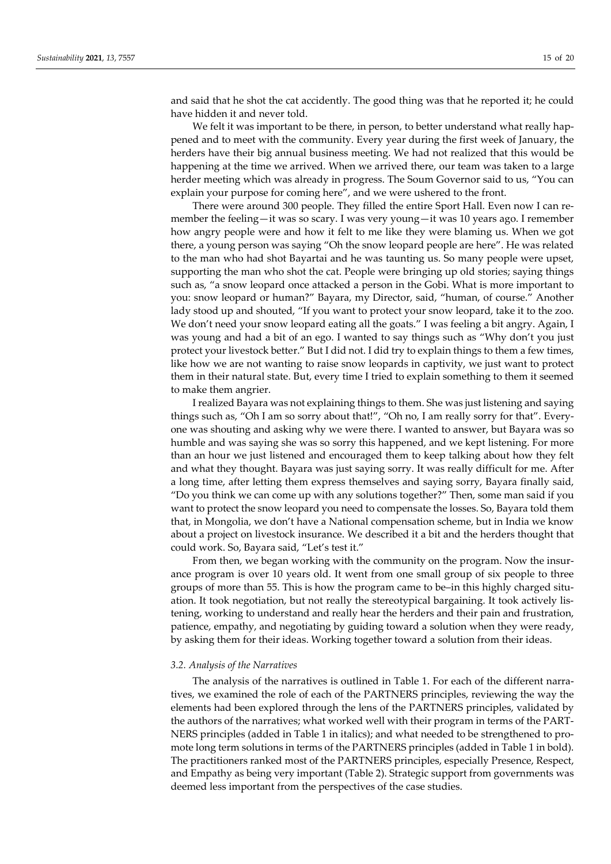and said that he shot the cat accidently. The good thing was that he reported it; he could have hidden it and never told.

We felt it was important to be there, in person, to better understand what really happened and to meet with the community. Every year during the first week of January, the herders have their big annual business meeting. We had not realized that this would be happening at the time we arrived. When we arrived there, our team was taken to a large herder meeting which was already in progress. The Soum Governor said to us, "You can explain your purpose for coming here", and we were ushered to the front.

There were around 300 people. They filled the entire Sport Hall. Even now I can remember the feeling—it was so scary. I was very young—it was 10 years ago. I remember how angry people were and how it felt to me like they were blaming us. When we got there, a young person was saying "Oh the snow leopard people are here". He was related to the man who had shot Bayartai and he was taunting us. So many people were upset, supporting the man who shot the cat. People were bringing up old stories; saying things such as, "a snow leopard once attacked a person in the Gobi. What is more important to you: snow leopard or human?" Bayara, my Director, said, "human, of course." Another lady stood up and shouted, "If you want to protect your snow leopard, take it to the zoo. We don't need your snow leopard eating all the goats." I was feeling a bit angry. Again, I was young and had a bit of an ego. I wanted to say things such as "Why don't you just protect your livestock better." But I did not. I did try to explain things to them a few times, like how we are not wanting to raise snow leopards in captivity, we just want to protect them in their natural state. But, every time I tried to explain something to them it seemed to make them angrier.

I realized Bayara was not explaining things to them. She was just listening and saying things such as, "Oh I am so sorry about that!", "Oh no, I am really sorry for that". Everyone was shouting and asking why we were there. I wanted to answer, but Bayara was so humble and was saying she was so sorry this happened, and we kept listening. For more than an hour we just listened and encouraged them to keep talking about how they felt and what they thought. Bayara was just saying sorry. It was really difficult for me. After a long time, after letting them express themselves and saying sorry, Bayara finally said, "Do you think we can come up with any solutions together?" Then, some man said if you want to protect the snow leopard you need to compensate the losses. So, Bayara told them that, in Mongolia, we don't have a National compensation scheme, but in India we know about a project on livestock insurance. We described it a bit and the herders thought that could work. So, Bayara said, "Let's test it."

From then, we began working with the community on the program. Now the insurance program is over 10 years old. It went from one small group of six people to three groups of more than 55. This is how the program came to be–in this highly charged situation. It took negotiation, but not really the stereotypical bargaining. It took actively listening, working to understand and really hear the herders and their pain and frustration, patience, empathy, and negotiating by guiding toward a solution when they were ready, by asking them for their ideas. Working together toward a solution from their ideas.

#### *3.2. Analysis of the Narratives*

The analysis of the narratives is outlined in Table 1. For each of the different narratives, we examined the role of each of the PARTNERS principles, reviewing the way the elements had been explored through the lens of the PARTNERS principles, validated by the authors of the narratives; what worked well with their program in terms of the PART-NERS principles (added in Table 1 in italics); and what needed to be strengthened to promote long term solutions in terms of the PARTNERS principles (added in Table 1 in bold). The practitioners ranked most of the PARTNERS principles, especially Presence, Respect, and Empathy as being very important (Table 2). Strategic support from governments was deemed less important from the perspectives of the case studies.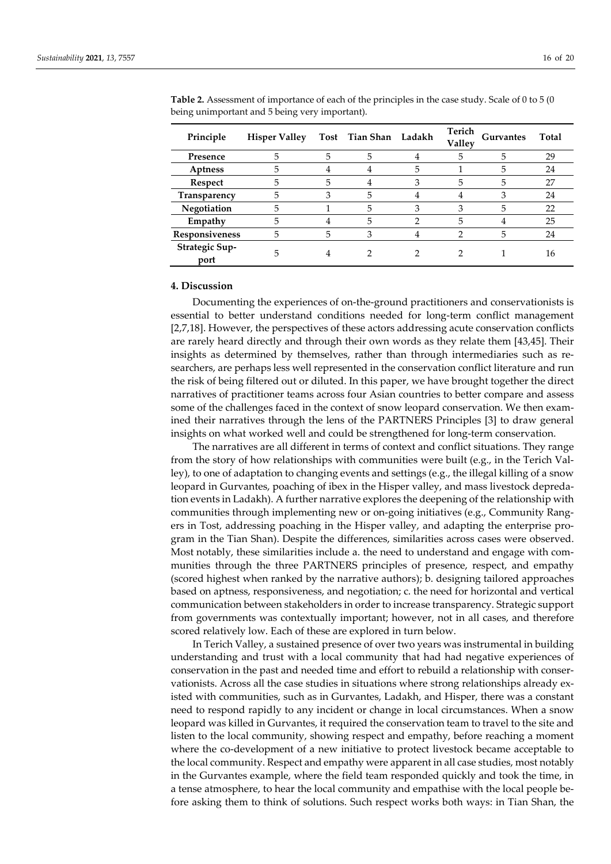| Principle              | <b>Hisper Valley</b> |   | Tost Tian Shan Ladakh |   | Terich<br>Valley | <b>Gurvantes</b> | Total |
|------------------------|----------------------|---|-----------------------|---|------------------|------------------|-------|
| Presence               | 5                    | 5 | 5                     |   | 5                | 5                | 29    |
| Aptness                | 5                    |   |                       | 5 |                  | 5                | 24    |
| Respect                | 5                    | 5 |                       | 3 | 5                | 5                | 27    |
| Transparency           | 5                    |   | 5                     |   |                  | 3                | 24    |
| Negotiation            | 5                    |   | 5                     | 3 | 3                | 5                | 22    |
| Empathy                | 5                    |   | 5                     |   | 5                |                  | 25    |
| Responsiveness         | 5                    | 5 |                       |   |                  | 5                | 24    |
| Strategic Sup-<br>port | 5                    |   |                       |   |                  |                  | 16    |

**Table 2.** Assessment of importance of each of the principles in the case study. Scale of 0 to 5 (0 being unimportant and 5 being very important).

# **4. Discussion**

Documenting the experiences of on-the-ground practitioners and conservationists is essential to better understand conditions needed for long-term conflict management [2,7,18]. However, the perspectives of these actors addressing acute conservation conflicts are rarely heard directly and through their own words as they relate them [43,45]. Their insights as determined by themselves, rather than through intermediaries such as researchers, are perhaps less well represented in the conservation conflict literature and run the risk of being filtered out or diluted. In this paper, we have brought together the direct narratives of practitioner teams across four Asian countries to better compare and assess some of the challenges faced in the context of snow leopard conservation. We then examined their narratives through the lens of the PARTNERS Principles [3] to draw general insights on what worked well and could be strengthened for long-term conservation.

The narratives are all different in terms of context and conflict situations. They range from the story of how relationships with communities were built (e.g., in the Terich Valley), to one of adaptation to changing events and settings (e.g., the illegal killing of a snow leopard in Gurvantes, poaching of ibex in the Hisper valley, and mass livestock depredation events in Ladakh). A further narrative explores the deepening of the relationship with communities through implementing new or on-going initiatives (e.g., Community Rangers in Tost, addressing poaching in the Hisper valley, and adapting the enterprise program in the Tian Shan). Despite the differences, similarities across cases were observed. Most notably, these similarities include a. the need to understand and engage with communities through the three PARTNERS principles of presence, respect, and empathy (scored highest when ranked by the narrative authors); b. designing tailored approaches based on aptness, responsiveness, and negotiation; c. the need for horizontal and vertical communication between stakeholders in order to increase transparency. Strategic support from governments was contextually important; however, not in all cases, and therefore scored relatively low. Each of these are explored in turn below.

In Terich Valley, a sustained presence of over two years was instrumental in building understanding and trust with a local community that had had negative experiences of conservation in the past and needed time and effort to rebuild a relationship with conservationists. Across all the case studies in situations where strong relationships already existed with communities, such as in Gurvantes, Ladakh, and Hisper, there was a constant need to respond rapidly to any incident or change in local circumstances. When a snow leopard was killed in Gurvantes, it required the conservation team to travel to the site and listen to the local community, showing respect and empathy, before reaching a moment where the co-development of a new initiative to protect livestock became acceptable to the local community. Respect and empathy were apparent in all case studies, most notably in the Gurvantes example, where the field team responded quickly and took the time, in a tense atmosphere, to hear the local community and empathise with the local people before asking them to think of solutions. Such respect works both ways: in Tian Shan, the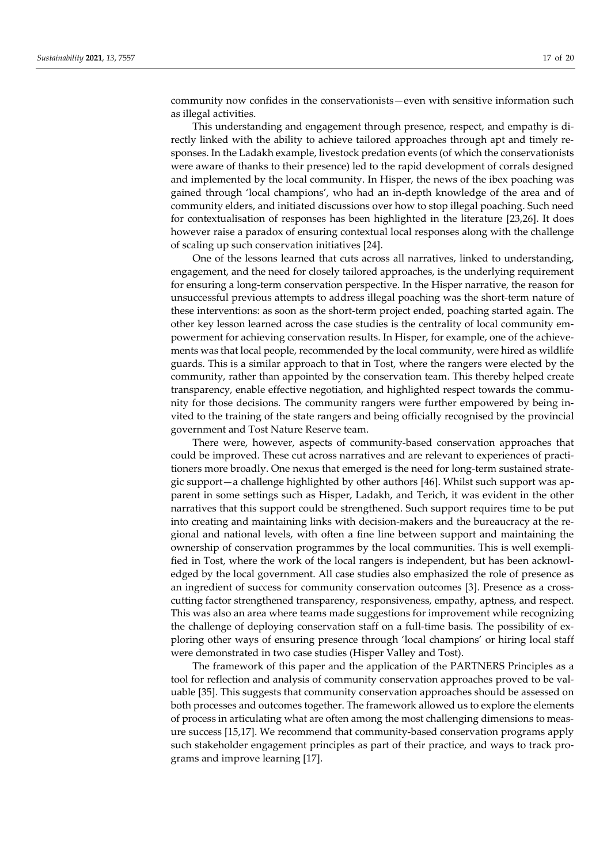community now confides in the conservationists—even with sensitive information such as illegal activities.

This understanding and engagement through presence, respect, and empathy is directly linked with the ability to achieve tailored approaches through apt and timely responses. In the Ladakh example, livestock predation events (of which the conservationists were aware of thanks to their presence) led to the rapid development of corrals designed and implemented by the local community. In Hisper, the news of the ibex poaching was gained through 'local champions', who had an in-depth knowledge of the area and of community elders, and initiated discussions over how to stop illegal poaching. Such need for contextualisation of responses has been highlighted in the literature [23,26]. It does however raise a paradox of ensuring contextual local responses along with the challenge of scaling up such conservation initiatives [24].

One of the lessons learned that cuts across all narratives, linked to understanding, engagement, and the need for closely tailored approaches, is the underlying requirement for ensuring a long-term conservation perspective. In the Hisper narrative, the reason for unsuccessful previous attempts to address illegal poaching was the short-term nature of these interventions: as soon as the short-term project ended, poaching started again. The other key lesson learned across the case studies is the centrality of local community empowerment for achieving conservation results. In Hisper, for example, one of the achievements was that local people, recommended by the local community, were hired as wildlife guards. This is a similar approach to that in Tost, where the rangers were elected by the community, rather than appointed by the conservation team. This thereby helped create transparency, enable effective negotiation, and highlighted respect towards the community for those decisions. The community rangers were further empowered by being invited to the training of the state rangers and being officially recognised by the provincial government and Tost Nature Reserve team.

There were, however, aspects of community-based conservation approaches that could be improved. These cut across narratives and are relevant to experiences of practitioners more broadly. One nexus that emerged is the need for long-term sustained strategic support—a challenge highlighted by other authors [46]. Whilst such support was apparent in some settings such as Hisper, Ladakh, and Terich, it was evident in the other narratives that this support could be strengthened. Such support requires time to be put into creating and maintaining links with decision-makers and the bureaucracy at the regional and national levels, with often a fine line between support and maintaining the ownership of conservation programmes by the local communities. This is well exemplified in Tost, where the work of the local rangers is independent, but has been acknowledged by the local government. All case studies also emphasized the role of presence as an ingredient of success for community conservation outcomes [3]. Presence as a crosscutting factor strengthened transparency, responsiveness, empathy, aptness, and respect. This was also an area where teams made suggestions for improvement while recognizing the challenge of deploying conservation staff on a full-time basis. The possibility of exploring other ways of ensuring presence through 'local champions' or hiring local staff were demonstrated in two case studies (Hisper Valley and Tost).

The framework of this paper and the application of the PARTNERS Principles as a tool for reflection and analysis of community conservation approaches proved to be valuable [35]. This suggests that community conservation approaches should be assessed on both processes and outcomes together. The framework allowed us to explore the elements of process in articulating what are often among the most challenging dimensions to measure success [15,17]. We recommend that community-based conservation programs apply such stakeholder engagement principles as part of their practice, and ways to track programs and improve learning [17].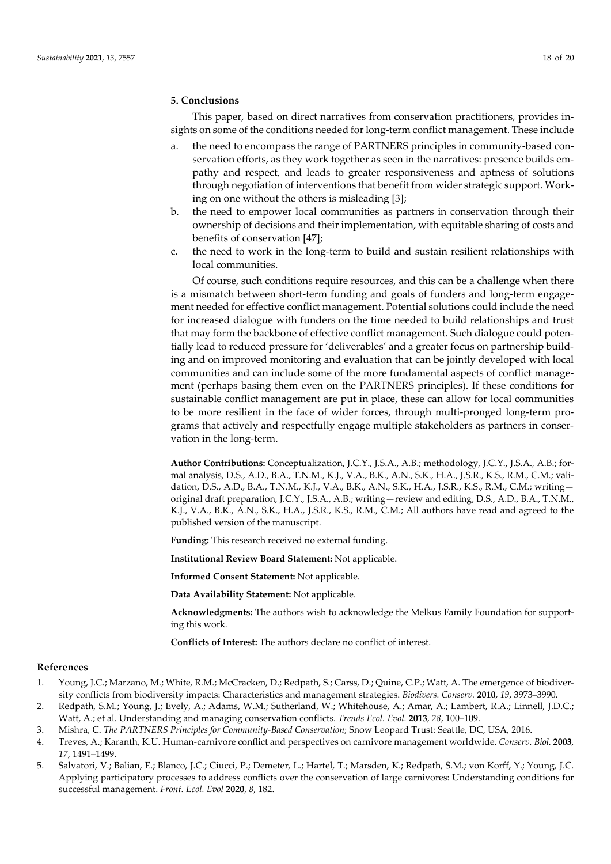#### **5. Conclusions**

This paper, based on direct narratives from conservation practitioners, provides insights on some of the conditions needed for long-term conflict management. These include

- a. the need to encompass the range of PARTNERS principles in community-based conservation efforts, as they work together as seen in the narratives: presence builds empathy and respect, and leads to greater responsiveness and aptness of solutions through negotiation of interventions that benefit from wider strategic support. Working on one without the others is misleading [3];
- b. the need to empower local communities as partners in conservation through their ownership of decisions and their implementation, with equitable sharing of costs and benefits of conservation [47];
- c. the need to work in the long-term to build and sustain resilient relationships with local communities.

Of course, such conditions require resources, and this can be a challenge when there is a mismatch between short-term funding and goals of funders and long-term engagement needed for effective conflict management. Potential solutions could include the need for increased dialogue with funders on the time needed to build relationships and trust that may form the backbone of effective conflict management. Such dialogue could potentially lead to reduced pressure for 'deliverables' and a greater focus on partnership building and on improved monitoring and evaluation that can be jointly developed with local communities and can include some of the more fundamental aspects of conflict management (perhaps basing them even on the PARTNERS principles). If these conditions for sustainable conflict management are put in place, these can allow for local communities to be more resilient in the face of wider forces, through multi-pronged long-term programs that actively and respectfully engage multiple stakeholders as partners in conservation in the long-term.

**Author Contributions:** Conceptualization, J.C.Y., J.S.A., A.B.; methodology, J.C.Y., J.S.A., A.B.; formal analysis, D.S., A.D., B.A., T.N.M., K.J., V.A., B.K., A.N., S.K., H.A., J.S.R., K.S., R.M., C.M.; validation, D.S., A.D., B.A., T.N.M., K.J., V.A., B.K., A.N., S.K., H.A., J.S.R., K.S., R.M., C.M.; writing original draft preparation, J.C.Y., J.S.A., A.B.; writing—review and editing, D.S., A.D., B.A., T.N.M., K.J., V.A., B.K., A.N., S.K., H.A., J.S.R., K.S., R.M., C.M.; All authors have read and agreed to the published version of the manuscript.

**Funding:** This research received no external funding.

**Institutional Review Board Statement:** Not applicable.

**Informed Consent Statement:** Not applicable.

**Data Availability Statement:** Not applicable.

**Acknowledgments:** The authors wish to acknowledge the Melkus Family Foundation for supporting this work.

**Conflicts of Interest:** The authors declare no conflict of interest.

#### **References**

- 1. Young, J.C.; Marzano, M.; White, R.M.; McCracken, D.; Redpath, S.; Carss, D.; Quine, C.P.; Watt, A. The emergence of biodiversity conflicts from biodiversity impacts: Characteristics and management strategies. *Biodivers. Conserv.* **2010**, *19*, 3973–3990.
- 2. Redpath, S.M.; Young, J.; Evely, A.; Adams, W.M.; Sutherland, W.; Whitehouse, A.; Amar, A.; Lambert, R.A.; Linnell, J.D.C.; Watt, A.; et al. Understanding and managing conservation conflicts. *Trends Ecol. Evol.* **2013**, *28*, 100–109.
- 3. Mishra, C. *The PARTNERS Principles for Community-Based Conservation*; Snow Leopard Trust: Seattle, DC, USA, 2016.
- 4. Treves, A.; Karanth, K.U. Human-carnivore conflict and perspectives on carnivore management worldwide. *Conserv. Biol.* **2003**, *17*, 1491–1499.
- 5. Salvatori, V.; Balian, E.; Blanco, J.C.; Ciucci, P.; Demeter, L.; Hartel, T.; Marsden, K.; Redpath, S.M.; von Korff, Y.; Young, J.C. Applying participatory processes to address conflicts over the conservation of large carnivores: Understanding conditions for successful management. *Front. Ecol. Evol* **2020**, *8*, 182.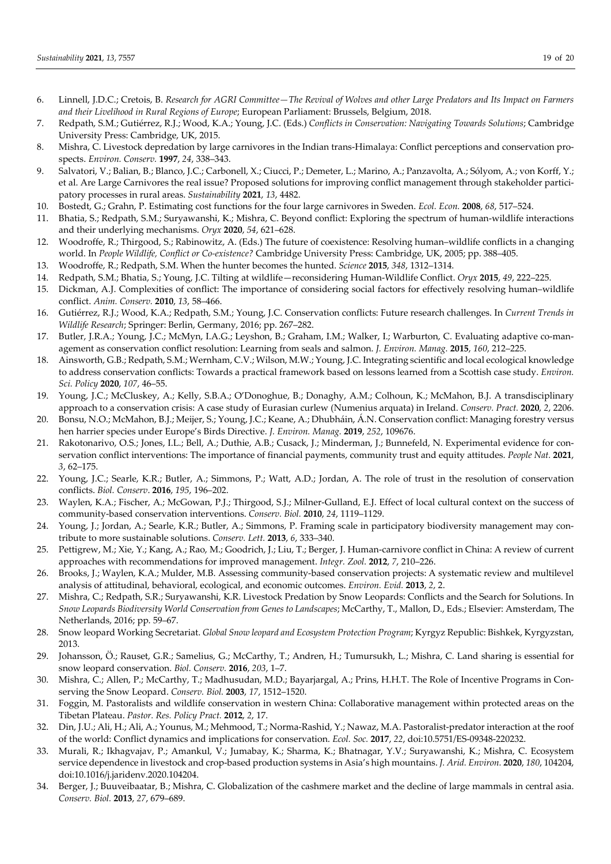- 6. Linnell, J.D.C.; Cretois, B. *Research for AGRI Committee—The Revival of Wolves and other Large Predators and Its Impact on Farmers and their Livelihood in Rural Regions of Europe*; European Parliament: Brussels, Belgium, 2018.
- 7. Redpath, S.M.; Gutiérrez, R.J.; Wood, K.A.; Young, J.C. (Eds.) *Conflicts in Conservation: Navigating Towards Solutions*; Cambridge University Press: Cambridge, UK, 2015.
- 8. Mishra, C. Livestock depredation by large carnivores in the Indian trans-Himalaya: Conflict perceptions and conservation prospects. *Environ. Conserv.* **1997**, *24*, 338–343.
- 9. Salvatori, V.; Balian, B.; Blanco, J.C.; Carbonell, X.; Ciucci, P.; Demeter, L.; Marino, A.; Panzavolta, A.; Sólyom, A.; von Korff, Y.; et al. Are Large Carnivores the real issue? Proposed solutions for improving conflict management through stakeholder participatory processes in rural areas. *Sustainability* **2021**, *13*, 4482.
- 10. Bostedt, G.; Grahn, P. Estimating cost functions for the four large carnivores in Sweden. *Ecol. Econ.* **2008**, *68*, 517–524.
- 11. Bhatia, S.; Redpath, S.M.; Suryawanshi, K.; Mishra, C. Beyond conflict: Exploring the spectrum of human-wildlife interactions and their underlying mechanisms. *Oryx* **2020**, *54*, 621–628.
- 12. Woodroffe, R.; Thirgood, S.; Rabinowitz, A. (Eds.) The future of coexistence: Resolving human–wildlife conflicts in a changing world. In *People Wildlife, Conflict or Co-existence?* Cambridge University Press: Cambridge, UK, 2005; pp. 388–405.
- 13. Woodroffe, R.; Redpath, S.M. When the hunter becomes the hunted. *Science* **2015**, *348*, 1312–1314.
- 14. Redpath, S.M.; Bhatia, S.; Young, J.C. Tilting at wildlife—reconsidering Human-Wildlife Conflict. *Oryx* **2015**, *49*, 222–225.
- 15. Dickman, A.J. Complexities of conflict: The importance of considering social factors for effectively resolving human–wildlife conflict. *Anim. Conserv.* **2010**, *13*, 58–466.
- 16. Gutiérrez, R.J.; Wood, K.A.; Redpath, S.M.; Young, J.C. Conservation conflicts: Future research challenges. In *Current Trends in Wildlife Research*; Springer: Berlin, Germany, 2016; pp. 267–282.
- 17. Butler, J.R.A.; Young, J.C.; McMyn, I.A.G.; Leyshon, B.; Graham, I.M.; Walker, I.; Warburton, C. Evaluating adaptive co-management as conservation conflict resolution: Learning from seals and salmon. *J. Environ. Manag.* **2015**, *160*, 212–225.
- 18. Ainsworth, G.B.; Redpath, S.M.; Wernham, C.V.; Wilson, M.W.; Young, J.C. Integrating scientific and local ecological knowledge to address conservation conflicts: Towards a practical framework based on lessons learned from a Scottish case study. *Environ. Sci. Policy* **2020**, *107*, 46–55.
- 19. Young, J.C.; McCluskey, A.; Kelly, S.B.A.; O'Donoghue, B.; Donaghy, A.M.; Colhoun, K.; McMahon, B.J. A transdisciplinary approach to a conservation crisis: A case study of Eurasian curlew (Numenius arquata) in Ireland. *Conserv. Pract.* **2020**, *2*, 2206.
- 20. Bonsu, N.O.; McMahon, B.J.; Meijer, S.; Young, J.C.; Keane, A.; Dhubháin, Á.N. Conservation conflict: Managing forestry versus hen harrier species under Europe's Birds Directive. *J. Environ. Manag.* **2019**, *252*, 109676.
- 21. Rakotonarivo, O.S.; Jones, I.L.; Bell, A.; Duthie, A.B.; Cusack, J.; Minderman, J.; Bunnefeld, N. Experimental evidence for conservation conflict interventions: The importance of financial payments, community trust and equity attitudes. *People Nat.* **2021**, *3*, 62–175.
- 22. Young, J.C.; Searle, K.R.; Butler, A.; Simmons, P.; Watt, A.D.; Jordan, A. The role of trust in the resolution of conservation conflicts. *Biol. Conserv*. **2016**, *195*, 196–202.
- 23. Waylen, K.A.; Fischer, A.; McGowan, P.J.; Thirgood, S.J.; Milner-Gulland, E.J. Effect of local cultural context on the success of community-based conservation interventions. *Conserv. Biol.* **2010**, *24*, 1119–1129.
- 24. Young, J.; Jordan, A.; Searle, K.R.; Butler, A.; Simmons, P. Framing scale in participatory biodiversity management may contribute to more sustainable solutions. *Conserv. Lett.* **2013**, *6*, 333–340.
- 25. Pettigrew, M.; Xie, Y.; Kang, A.; Rao, M.; Goodrich, J.; Liu, T.; Berger, J. Human-carnivore conflict in China: A review of current approaches with recommendations for improved management. *Integr. Zool.* **2012**, *7*, 210–226.
- 26. Brooks, J.; Waylen, K.A.; Mulder, M.B. Assessing community-based conservation projects: A systematic review and multilevel analysis of attitudinal, behavioral, ecological, and economic outcomes. *Environ. Evid.* **2013**, *2*, 2.
- 27. Mishra, C.; Redpath, S.R.; Suryawanshi, K.R. Livestock Predation by Snow Leopards: Conflicts and the Search for Solutions. In *Snow Leopards Biodiversity World Conservation from Genes to Landscapes*; McCarthy, T., Mallon, D., Eds.; Elsevier: Amsterdam, The Netherlands, 2016; pp. 59–67.
- 28. Snow leopard Working Secretariat. *Global Snow leopard and Ecosystem Protection Program*; Kyrgyz Republic: Bishkek, Kyrgyzstan, 2013.
- 29. Johansson, Ö.; Rauset, G.R.; Samelius, G.; McCarthy, T.; Andren, H.; Tumursukh, L.; Mishra, C. Land sharing is essential for snow leopard conservation. *Biol. Conserv.* **2016**, *203*, 1–7.
- 30. Mishra, C.; Allen, P.; McCarthy, T.; Madhusudan, M.D.; Bayarjargal, A.; Prins, H.H.T. The Role of Incentive Programs in Conserving the Snow Leopard. *Conserv. Biol.* **2003**, *17*, 1512–1520.
- 31. Foggin, M. Pastoralists and wildlife conservation in western China: Collaborative management within protected areas on the Tibetan Plateau. *Pastor. Res. Policy Pract.* **2012**, *2*, 17.
- 32. Din, J.U.; Ali, H.; Ali, A.; Younus, M.; Mehmood, T.; Norma-Rashid, Y.; Nawaz, M.A. Pastoralist-predator interaction at the roof of the world: Conflict dynamics and implications for conservation. *Ecol. Soc.* **2017**, *22*, doi:10.5751/ES-09348-220232.
- 33. Murali, R.; Ikhagvajav, P.; Amankul, V.; Jumabay, K.; Sharma, K.; Bhatnagar, Y.V.; Suryawanshi, K.; Mishra, C. Ecosystem service dependence in livestock and crop-based production systems in Asia's high mountains. *J. Arid. Environ.* **2020**, *180*, 104204, doi:10.1016/j.jaridenv.2020.104204.
- 34. Berger, J.; Buuveibaatar, B.; Mishra, C. Globalization of the cashmere market and the decline of large mammals in central asia. *Conserv. Biol.* **2013**, *27*, 679–689.